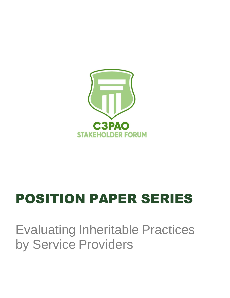

# POSITION PAPER SERIES

## Evaluating Inheritable Practices by Service Providers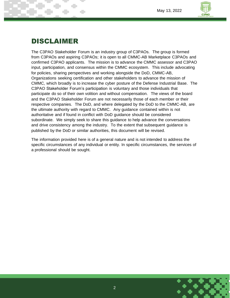

## DISCLAIMER

The C3PAO Stakeholder Forum is an industry group of C3PAOs. The group is formed from C3PAOs and aspiring C3PAOs; it is open to all CMMC-AB Marketplace C3PAOs and confirmed C3PAO applicants. The mission is to advance the CMMC assessor and C3PAO input, participation, and consensus within the CMMC ecosystem. This include advocating for policies, sharing perspectives and working alongside the DoD, CMMC-AB, Organizations seeking certification and other stakeholders to advance the mission of CMMC, which broadly is to increase the cyber posture of the Defense Industrial Base. The C3PAO Stakeholder Forum's participation is voluntary and those individuals that participate do so of their own volition and without compensation. The views of the board and the C3PAO Stakeholder Forum are not necessarily those of each member or their respective companies. The DoD, and where delegated by the DoD to the CMMC-AB, are the ultimate authority with regard to CMMC. Any guidance contained within is not authoritative and if found in conflict with DoD guidance should be considered subordinate. We simply seek to share this guidance to help advance the conversations and drive consistency among the industry. To the extent that subsequent guidance is published by the DoD or similar authorities, this document will be revised.

The information provided here is of a general nature and is not intended to address the specific circumstances of any individual or entity. In specific circumstances, the services of a professional should be sought.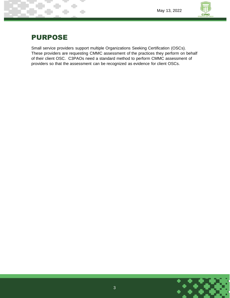

## PURPOSE

Small service providers support multiple Organizations Seeking Certification (OSCs). These providers are requesting CMMC assessment of the practices they perform on behalf of their client OSC. C3PAOs need a standard method to perform CMMC assessment of providers so that the assessment can be recognized as evidence for client OSCs.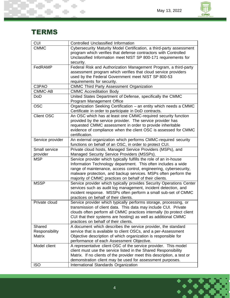÷



## **TERMS**

T. L

÷

÷

| <b>CUI</b>        | <b>Controlled Unclassified Information</b>                             |
|-------------------|------------------------------------------------------------------------|
| <b>CMMC</b>       | Cybersecurity Maturity Model Certification, a third-party assessment   |
|                   | program which verifies that defense contractors with Controlled        |
|                   | Unclassified Information meet NIST SP 800-171 requirements for         |
|                   | security.                                                              |
| FedRAMP           | Federal Risk and Authorization Management Program, a third-party       |
|                   | assessment program which verifies that cloud service providers         |
|                   | used by the Federal Government meet NIST SP 800-53                     |
|                   | requirements for security.                                             |
| C3PAO             | <b>CMMC Third Party Assessment Organization</b>                        |
| CMMC-AB           | <b>CMMC</b> Accreditation Body                                         |
| <b>DoD</b>        | United States Department of Defense, specifically the CMMC             |
|                   | Program Management Office                                              |
|                   |                                                                        |
| <b>OSC</b>        | Organization Seeking Certification - an entity which needs a CMMC      |
|                   | Certificate in order to participate in DoD contracts.                  |
| <b>Client OSC</b> | An OSC which has at least one CMMC-required security function          |
|                   | provided by the service provider. The service provider has             |
|                   | requested CMMC assessment in order to provide inheritable              |
|                   | evidence of compliance when the client OSC is assessed for CMMC        |
|                   | certification.                                                         |
| Service provider  | An external organization which performs CMMC-required security         |
|                   | functions on behalf of an OSC, in order to protect CUI.                |
| Small service     | Private cloud hosts, Managed Service Providers (MSPs), and             |
| provider          | Managed Security Service Providers (MSSPs).                            |
| <b>MSP</b>        | Service provider which typically fulfills the role of an in-house      |
|                   | Information Technology department. This often includes a wide          |
|                   | range of maintenance, access control, engineering, cybersecurity,      |
|                   | malware protection, and backup services. MSPs often perform the        |
|                   | majority of CMMC practices on behalf of their clients.                 |
| <b>MSSP</b>       | Service provider which typically provides Security Operations Center   |
|                   | services such as audit log management, incident detection, and         |
|                   | incident response. MSSPs often perform a small sub-set of CMMC         |
|                   | practices on behalf of their clients.                                  |
| Private cloud     | Service provider which typically performs storage, processing, or      |
|                   | transmission of client data. This data may include CUI. Private        |
|                   | clouds often perform all CMMC practices internally (to protect client  |
|                   | CUI that their systems are hosting) as well as additional CMMC         |
|                   | practices on behalf of their clients.                                  |
| Shared            | A document which describes the service provider, the standard          |
| Responsibility    | service that is available to client OSCs, and a per-Assessment         |
| Matrix            | Objective description of which organization is responsible for         |
|                   | performance of each Assessment Objective.                              |
| Model client      | A representative client OSC of the service provider. This model        |
|                   | client must use the service listed in the Shared Responsibility        |
|                   |                                                                        |
|                   | Matrix. If no clients of the provider meet this description, a test or |
|                   | demonstration client may be used for assessment purposes.              |
| <b>ISO</b>        | International Standards Organization                                   |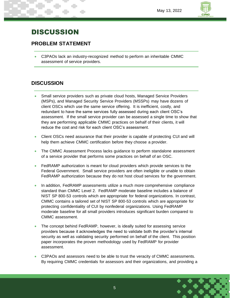## DISCUSSION

#### **PROBLEM STATEMENT**

• C3PAOs lack an industry-recognized method to perform an inheritable CMMC assessment of service providers.

#### **DISCUSSION**

- Small service providers such as private cloud hosts, Managed Service Providers (MSPs), and Managed Security Service Providers (MSSPs) may have dozens of client OSCs which use the same service offering. It is inefficient, costly, and redundant to have the same services fully assessed during each client OSC's assessment. If the small service provider can be assessed a single time to show that they are performing applicable CMMC practices on behalf of their clients, it will reduce the cost and risk for each client OSC's assessment.
- Client OSCs need assurance that their provider is capable of protecting CUI and will help them achieve CMMC certification before they choose a provider.
- The CMMC Assessment Process lacks guidance to perform standalone assessment of a service provider that performs some practices on behalf of an OSC.
- FedRAMP authorization is meant for cloud providers which provide services to the Federal Government. Small service providers are often ineligible or unable to obtain FedRAMP authorization because they do not host cloud services for the government.
- In addition, FedRAMP assessments utilize a much more comprehensive compliance standard than CMMC Level 2. FedRAMP moderate baseline includes a balance of NIST SP 800-53 controls which are appropriate for federal organizations. In contrast, CMMC contains a tailored set of NIST SP 800-53 controls which are appropriate for protecting confidentiality of CUI by nonfederal organizations. Using FedRAMP moderate baseline for all small providers introduces significant burden compared to CMMC assessment.
- The concept behind FedRAMP, however, is ideally suited for assessing service providers because it acknowledges the need to validate both the provider's internal security as well as validating security performed on behalf of the client. This position paper incorporates the proven methodology used by FedRAMP for provider assessment.
- C3PAOs and assessors need to be able to trust the veracity of CMMC assessments. By requiring CMMC credentials for assessors and their organizations, and providing a

5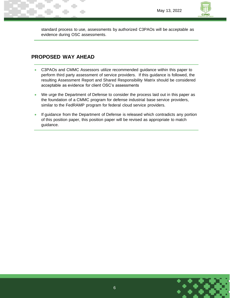standard process to use, assessments by authorized C3PAOs will be acceptable as evidence during OSC assessments.

#### **PROPOSED WAY AHEAD**

- C3PAOs and CMMC Assessors utilize recommended guidance within this paper to perform third party assessment of service providers. If this guidance is followed, the resulting Assessment Report and Shared Responsibility Matrix should be considered acceptable as evidence for client OSC's assessments
- We urge the Department of Defense to consider the process laid out in this paper as the foundation of a CMMC program for defense industrial base service providers, similar to the FedRAMP program for federal cloud service providers.
- If guidance from the Department of Defense is released which contradicts any portion of this position paper, this position paper will be revised as appropriate to match guidance.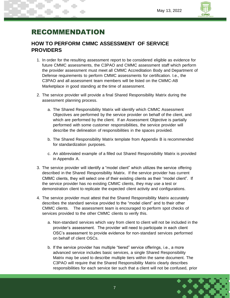## RECOMMENDATION

#### **HOW TO PERFORM CMMC ASSESSMENT OF SERVICE PROVIDERS**

- 1. In order for the resulting assessment report to be considered eligible as evidence for future CMMC assessments, the C3PAO and CMMC assessment staff which perform the provider assessment must meet all CMMC Accreditation Body and Department of Defense requirements to perform CMMC assessments for certification. I.e., the C3PAO and all assessment team members will be listed on the CMMC-AB Marketplace in good standing at the time of assessment.
- 2. The service provider will provide a final Shared Responsibility Matrix during the assessment planning process.
	- a. The Shared Responsibility Matrix will identify which CMMC Assessment Objectives are performed by the service provider on behalf of the client, and which are performed by the client. If an Assessment Objective is partially performed with some customer responsibilities, the service provider will describe the delineation of responsibilities in the spaces provided.
	- b. The Shared Responsibility Matrix template from Appendix B is recommended for standardization purposes.
	- c. An abbreviated example of a filled out Shared Responsibility Matrix is provided in Appendix A.
- 3. The service provider will identify a "model client" which utilizes the service offering described in the Shared Responsibility Matrix. If the service provider has current CMMC clients, they will select one of their existing clients as their "model client". If the service provider has no existing CMMC clients, they may use a test or demonstration client to replicate the expected client activity and configurations.
- 4. The service provider must attest that the Shared Responsibility Matrix accurately describes the standard service provided to the "model client" and to their other CMMC clients. The assessment team is encouraged to perform spot checks of services provided to the other CMMC clients to verify this.
	- a. Non-standard services which vary from client to client will not be included in the provider's assessment. The provider will need to participate in each client OSC's assessment to provide evidence for non-standard services performed on behalf of client OSCs.
	- b. If the service provider has multiple "tiered" service offerings, i.e., a more advanced service includes basic services, a single Shared Responsibility Matrix may be used to describe multiple tiers within the same document. The C3PAO will require that the Shared Responsibility Matrix clearly describes responsibilities for each service tier such that a client will not be confused, prior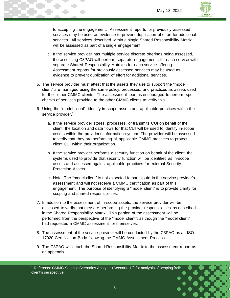

to accepting the engagement. Assessment reports for previously assessed services may be used as evidence to prevent duplication of effort for additional services. All services described within a single Shared Responsibility Matrix will be assessed as part of a single engagement.

- c. If the service provider has multiple service discrete offerings being assessed, the assessing C3PAO will perform separate engagements for each service with separate Shared Responsibility Matrixes for each service offering. Assessment reports for previously assessed services may be used as evidence to prevent duplication of effort for additional services.
- 5. The service provider must attest that the assets they use to support the "model client" are managed using the same policy, processes, and practices as assets used for their other CMMC clients. The assessment team is encouraged to perform spot checks of services provided to the other CMMC clients to verify this.
- 6. Using the "model client", identify in-scope assets and applicable practices within the service provider.<sup>1</sup>
	- a. If the service provider stores, processes, or transmits CUI on behalf of the client, the location and data flows for that CUI will be used to identify in-scope assets within the provider's information system. The provider will be assessed to verify that they are performing all applicable CMMC practices to protect client CUI within their organization.
	- b. If the service provider performs a security function on behalf of the client, the systems used to provide that security function will be identified as in-scope assets and assessed against applicable practices for external Security Protection Assets.
	- c. Note: The "model client" is not expected to participate in the service provider's assessment and will not receive a CMMC certification as part of this engagement. The purpose of identifying a "model client" is to provide clarity for scoping and shared responsibilities.
- 7. In addition to the assessment of in-scope assets, the service provider will be assessed to verify that they are performing the provider responsibilities as described in the Shared Responsibility Matrix. This portion of the assessment will be performed from the perspective of the "model client", as though the "model client" had requested a CMMC assessment for themselves.
- 8. The assessment of the service provider will be conducted by the C3PAO as an ISO 17020 Certification Body following the CMMC Assessment Process.
- 9. The C3PAO will attach the Shared Responsibility Matrix to the assessment report as an appendix.

<sup>&</sup>lt;sup>1</sup> Reference CMMC Scoping Scenarios Analysis (Scenario 12) for analysis of scoping from the client's perspective.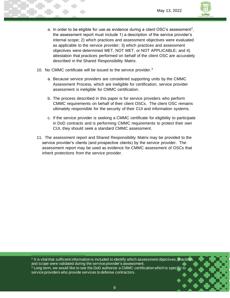

- a. In order to be eligible for use as evidence during a client OSC's assessment<sup>2</sup>, the assessment report must include 1) a description of the service provider's internal scope; 2) which practices and assessment objectives were evaluated as applicable to the service provider; 3) which practices and assessment objectives were determined MET, NOT MET, or NOT APPLICABLE; and 4) attestation that practices performed on behalf of the client OSC are accurately described in the Shared Responsibility Matrix.
- 10. No CMMC certificate will be issued to the service provider.<sup>3</sup>
	- a. Because service providers are considered supporting units by the CMMC Assessment Process, which are ineligible for certification, service provider assessment is ineligible for CMMC certification.
	- b. The process described in this paper is for service providers who perform CMMC requirements on behalf of their client OSCs. The client OSC remains ultimately responsible for the security of their CUI and information systems.
	- c. If the service provider is seeking a CMMC certificate for eligibility to participate in DoD contracts and is performing CMMC requirements to protect their own CUI, they should seek a standard CMMC assessment.
- 11. The assessment report and Shared Responsibility Matrix may be provided to the service provider's clients (and prospective clients) by the service provider. The assessment report may be used as evidence for CMMC assessment of OSCs that inherit protections from the service provider.

2 It is vital that sufficient information is included to identify which assessment objectives, practices, and scope were validated during the service provider's assessment.  $3$  Long term, we would like to see the DoD authorize a CMMC certification which is specific to

service providers who provide services to defense contractors.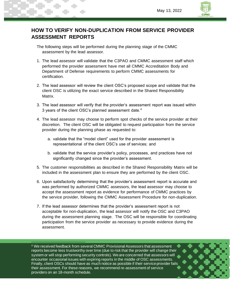

### **HOW TO VERIFY NON-DUPLICATION FROM SERVICE PROVIDER ASSESSMENT REPORTS**

- The following steps will be performed during the planning stage of the CMMC assessment by the lead assessor.
- 1. The lead assessor will validate that the C3PAO and CMMC assessment staff which performed the provider assessment have met all CMMC Accreditation Body and Department of Defense requirements to perform CMMC assessments for certification.
- 2. The lead assessor will review the client OSC's proposed scope and validate that the client OSC is utilizing the exact service described in the Shared Responsibility Matrix.
- 3. The lead assessor will verify that the provider's assessment report was issued within 3 years of the client OSC's planned assessment date.<sup>4</sup>
- 4. The lead assessor may choose to perform spot checks of the service provider at their discretion. The client OSC will be obligated to request participation from the service provider during the planning phase as requested to:
	- a. validate that the "model client" used for the provider assessment is representational of the client OSC's use of services; and
	- b. validate that the service provider's policy, processes, and practices have not significantly changed since the provider's assessment.
- 5. The customer responsibilities as described in the Shared Responsibility Matrix will be included in the assessment plan to ensure they are performed by the client OSC.
- 6. Upon satisfactorily determining that the provider's assessment report is accurate and was performed by authorized CMMC assessors, the lead assessor may choose to accept the assessment report as evidence for performance of CMMC practices by the service provider, following the CMMC Assessment Procedure for non-duplication.
- 7. If the lead assessor determines that the provider's assessment report is not acceptable for non-duplication, the lead assessor will notify the OSC and C3PAO during the assessment planning stage. The OSC will be responsible for coordinating participation from the service provider as necessary to provide evidence during the assessment.

<sup>4</sup> We received feedback from several CMMC Provisional Assessors that assessment reports become less trustworthy over time (due to risk that the provider will change their system or will stop performing security controls). We are concerned that assessors will encounter occasional issues with expiring reports in the middle of OSC assessments. Finally, client OSCs should have as much notice as possible if their service provider fails their assessment. For these reasons, we recommend re-assessment of service providers on an 18-month schedule.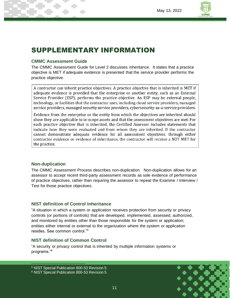

## SUPPLEMENTARY INFORMATION

#### **CMMC Assessment Guide**

The CMMC Assessment Guide for Level 2 discusses inheritance. It states that a practice objective is MET if adequate evidence is presented that the service provider performs the practice objective.

A contractor can inherit practice objectives. A practice objective that is inherited is MET if adequate evidence is provided that the enterprise or another entity, such as an External Service Provider (ESP), performs the practice objective. An ESP may be external people, technology, or facilities that the contractor uses, including cloud service providers, managed service providers, managed security service providers, cybersecurity-as-a-service providers.

Evidence from the enterprise or the entity from which the objectives are inherited should show they are applicable to in-scope assets and that the assessment objectives are met. For each practice objective that is inherited, the Certified Assessor includes statements that indicate how they were evaluated and from whom they are inherited. If the contractor cannot demonstrate adequate evidence for all assessment objectives, through either contractor evidence or evidence of inheritance, the contractor will receive a NOT MET for the practice.

#### **Non-duplication**

The CMMC Assessment Process describes non-duplication. Non-duplication allows for an assessor to accept recent third-party assessment records as sole evidence of performance of practice objectives, rather than requiring the assessor to repeat the Examine / Interview / Test for those practice objectives.

#### **NIST definition of Control Inheritance**

"A situation in which a system or application receives protection from security or privacy controls (or portions of controls) that are developed, implemented, assessed, authorized, and monitored by entities other than those responsible for the system or application; entities either internal or external to the organization where the system or application resides. See common control."<sup>5</sup>

#### **NIST definition of Common Control**

"A security or privacy control that is inherited by multiple information systems or programs."<sup>6</sup>

<sup>5</sup> NIST Special Publication 800-53 Revision 5 <sup>6</sup> NIST Special Publication 800-53 Revision 5

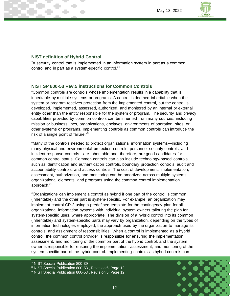

#### **NIST definition of Hybrid Control**

"A security control that is implemented in an information system in part as a common control and in part as a system-specific control."<sup>7</sup>

#### **NIST SP 800-53 Rev.5 instructions for Common Controls**

"Common controls are controls whose implementation results in a capability that is inheritable by multiple systems or programs. A control is deemed inheritable when the system or program receives protection from the implemented control, but the control is developed, implemented, assessed, authorized, and monitored by an internal or external entity other than the entity responsible for the system or program. The security and privacy capabilities provided by common controls can be inherited from many sources, including mission or business lines, organizations, enclaves, environments of operation, sites, or other systems or programs. Implementing controls as common controls can introduce the risk of a single point of failure."<sup>8</sup>

"Many of the controls needed to protect organizational information systems—including many physical and environmental protection controls, personnel security controls, and incident response controls—are inheritable and, therefore, are good candidates for common control status. Common controls can also include technology-based controls, such as identification and authentication controls, boundary protection controls, audit and accountability controls, and access controls. The cost of development, implementation, assessment, authorization, and monitoring can be amortized across multiple systems, organizational elements, and programs using the common control implementation approach."<sup>9</sup>

"Organizations can implement a control as hybrid if one part of the control is common (inheritable) and the other part is system-specific. For example, an organization may implement control CP-2 using a predefined template for the contingency plan for all organizational information systems with individual system owners tailoring the plan for system-specific uses, where appropriate. The division of a hybrid control into its common (inheritable) and system-specific parts may vary by organization, depending on the types of information technologies employed, the approach used by the organization to manage its controls, and assignment of responsibilities. When a control is implemented as a hybrid control, the common control provider is responsible for ensuring the implementation, assessment, and monitoring of the common part of the hybrid control, and the system owner is responsible for ensuring the implementation, assessment, and monitoring of the system-specific part of the hybrid control. Implementing controls as hybrid controls can



<sup>7</sup> NIST Special Publication 800-39

<sup>8</sup> NIST Special Publication 800-53 , Revision 5. Page 12

<sup>&</sup>lt;sup>9</sup> NIST Special Publication 800-53, Revision 5. Page 12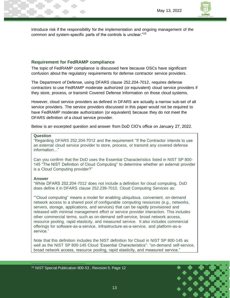

introduce risk if the responsibility for the implementation and ongoing management of the common and system-specific parts of the controls is unclear."<sup>10</sup>

#### **Requirement for FedRAMP compliance**

The topic of FedRAMP compliance is discussed here because OSCs have significant confusion about the regulatory requirements for defense contractor service providers.

The Department of Defense, using DFARS clause 252.204-7012, requires defense contractors to use FedRAMP moderate authorized (or equivalent) cloud service providers if they store, process, or transmit Covered Defense Information on those cloud systems.

However, cloud service providers as defined in DFARS are actually a narrow sub-set of all service providers. The service providers discussed in this paper would not be required to have FedRAMP moderate authorization (or equivalent) because they do not meet the DFARS definition of a cloud service provider.

Below is an excerpted question and answer from DoD CIO's office on January 27, 2022.

#### **Question**

"Regarding DFARS 252.204-7012 and the requirement "If the Contractor intends to use an external cloud service provider to store, process, or transmit any covered defense information…"

Can you confirm that the DoD uses the Essential Characteristics listed in NIST SP 800- 145 "The NIST Definition of Cloud Computing" to determine whether an external provider is a Cloud Computing provider?"

#### **Answer**

"While DFARS 252.204-7012 does not include a definition for cloud computing, DoD does define it in DFARS clause 252.239-7010, Cloud Computing Services as:

""Cloud computing" means a model for enabling ubiquitous, convenient, on-demand network access to a shared pool of configurable computing resources (e.g., networks, servers, storage, applications, and services) that can be rapidly provisioned and released with minimal management effort or service provider interaction. This includes other commercial terms, such as on-demand self-service, broad network access, resource pooling, rapid elasticity, and measured service. It also includes commercial offerings for software-as-a-service, infrastructure-as-a-service, and platform-as-aservice."

Note that this definition includes the NIST definition for Cloud in NIST SP 800-145 as well as the NIST SP 800-145 Cloud 'Essential Characteristics": "on-demand self-service, broad network access, resource pooling, rapid elasticity, and measured service."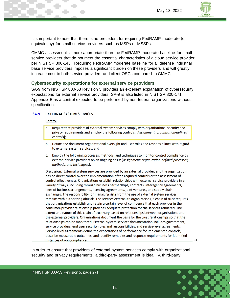

It is important to note that there is no precedent for requiring FedRAMP moderate (or equivalency) for small service providers such as MSPs or MSSPs.

CMMC assessment is more appropriate than the FedRAMP moderate baseline for small service providers that do not meet the essential characteristics of a cloud service provider per NIST SP 800-145. Requiring FedRAMP moderate baseline for all defense industrial base service providers imposes a significant burden on these providers and will greatly increase cost to both service providers and client OSCs compared to CMMC.

#### **Cybersecurity expectations for external service providers**

SA-9 from NIST SP 800-53 Revision 5 provides an excellent explanation of cybersecurity expectations for external service providers. SA-9 is also listed in NIST SP 800-171 Appendix E as a control expected to be performed by non-federal organizations without specification.

| $SA-9$ | <b>EXTERNAL SYSTEM SERVICES</b> |                                                                                                                                                                                                                                                                                                                                                                                                                                                                                                                                                                                                                                                                                                                                                                                                                                                                                                                                                                                                                                                                                                                                                                                                                                                                                                                                                                                                                                                                                                                                         |  |  |  |
|--------|---------------------------------|-----------------------------------------------------------------------------------------------------------------------------------------------------------------------------------------------------------------------------------------------------------------------------------------------------------------------------------------------------------------------------------------------------------------------------------------------------------------------------------------------------------------------------------------------------------------------------------------------------------------------------------------------------------------------------------------------------------------------------------------------------------------------------------------------------------------------------------------------------------------------------------------------------------------------------------------------------------------------------------------------------------------------------------------------------------------------------------------------------------------------------------------------------------------------------------------------------------------------------------------------------------------------------------------------------------------------------------------------------------------------------------------------------------------------------------------------------------------------------------------------------------------------------------------|--|--|--|
|        | Control:                        |                                                                                                                                                                                                                                                                                                                                                                                                                                                                                                                                                                                                                                                                                                                                                                                                                                                                                                                                                                                                                                                                                                                                                                                                                                                                                                                                                                                                                                                                                                                                         |  |  |  |
|        | a.                              | Require that providers of external system services comply with organizational security and<br>privacy requirements and employ the following controls: [Assignment: organization-defined<br>controls];                                                                                                                                                                                                                                                                                                                                                                                                                                                                                                                                                                                                                                                                                                                                                                                                                                                                                                                                                                                                                                                                                                                                                                                                                                                                                                                                   |  |  |  |
|        | b.                              | Define and document organizational oversight and user roles and responsibilities with regard<br>to external system services; and                                                                                                                                                                                                                                                                                                                                                                                                                                                                                                                                                                                                                                                                                                                                                                                                                                                                                                                                                                                                                                                                                                                                                                                                                                                                                                                                                                                                        |  |  |  |
|        | C.                              | Employ the following processes, methods, and techniques to monitor control compliance by<br>external service providers on an ongoing basis: [Assignment: organization-defined processes,<br>methods, and techniques].                                                                                                                                                                                                                                                                                                                                                                                                                                                                                                                                                                                                                                                                                                                                                                                                                                                                                                                                                                                                                                                                                                                                                                                                                                                                                                                   |  |  |  |
|        |                                 | Discussion: External system services are provided by an external provider, and the organization<br>has no direct control over the implementation of the required controls or the assessment of<br>control effectiveness. Organizations establish relationships with external service providers in a<br>variety of ways, including through business partnerships, contracts, interagency agreements,<br>lines of business arrangements, licensing agreements, joint ventures, and supply chain<br>exchanges. The responsibility for managing risks from the use of external system services<br>remains with authorizing officials. For services external to organizations, a chain of trust requires<br>that organizations establish and retain a certain level of confidence that each provider in the<br>consumer-provider relationship provides adequate protection for the services rendered. The<br>extent and nature of this chain of trust vary based on relationships between organizations and<br>the external providers. Organizations document the basis for the trust relationships so that the<br>relationships can be monitored. External system services documentation includes government,<br>service providers, end user security roles and responsibilities, and service-level agreements.<br>Service-level agreements define the expectations of performance for implemented controls,<br>describe measurable outcomes, and identify remedies and response requirements for identified<br>instances of noncompliance. |  |  |  |

In order to ensure that providers of external system services comply with organizational security and privacy requirements, a third-party assessment is ideal. A third-party



11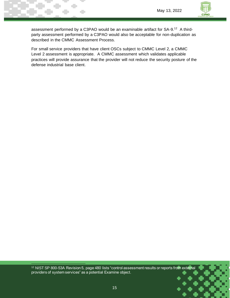

assessment performed by a C3PAO would be an examinable artifact for SA-9.<sup>12</sup> A thirdparty assessment performed by a C3PAO would also be acceptable for non-duplication as described in the CMMC Assessment Process.

For small service providers that have client OSCs subject to CMMC Level 2, a CMMC Level 2 assessment is appropriate. A CMMC assessment which validates applicable practices will provide assurance that the provider will not reduce the security posture of the defense industrial base client.

<sup>12</sup> NIST SP 800-53A Revision 5, page 480 lists "control assessment results or reports from external providers of system services" as a potential Examine object.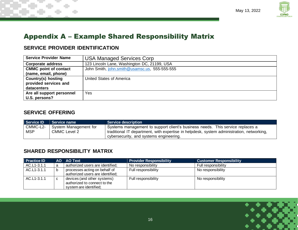

## Appendix A – Example Shared Responsibility Matrix

### **SERVICE PROVIDER IDENTIFICATION**

| <b>Service Provider Name</b> | <b>USA Managed Services Corp</b>              |
|------------------------------|-----------------------------------------------|
| <b>Corporate address</b>     | 123 Lincoln Lane, Washington DC, 21199, USA   |
| <b>CMMC point of contact</b> | John Smith, john.smith@usamsc.us, 555-555-555 |
| (name, email, phone)         |                                               |
| <b>Country(s) hosting</b>    | United States of America                      |
| provided services and        |                                               |
| datacenters                  |                                               |
| Are all support personnel    | Yes                                           |
| U.S. persons?                |                                               |

#### **SERVICE OFFERING**

| Service ID | <b>Service name</b>              | <b>Service description</b>                                                                |
|------------|----------------------------------|-------------------------------------------------------------------------------------------|
|            | CMMC-L2-   System Management for | Systems management to support client's business needs. This service replaces a            |
| <b>MSP</b> | <b>CMMC Level 2</b>              | traditional IT department, with expertise in helpdesk, system administration, networking, |
|            |                                  | cybersecurity, and systems engineering.                                                   |

#### **SHARED RESPONSIBILITY MATRIX**

| <b>Practice ID</b> |   | AO AO Text                                                                            | <b>Provider Responsibility</b> | <b>Customer Responsibility</b> |
|--------------------|---|---------------------------------------------------------------------------------------|--------------------------------|--------------------------------|
| AC.L1-3.1.1        | a | authorized users are identified;                                                      | No responsibility              | Full responsibility            |
| AC.L1-3.1.1        | b | processes acting on behalf of<br>authorized users are identified;                     | Full responsibility            | No responsibility              |
| AC.L1-3.1.1        | C | devices (and other systems)<br>authorized to connect to the<br>system are identified; | Full responsibility            | No responsibility              |

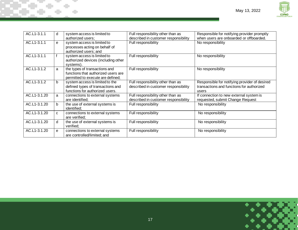

| AC.L1-3.1.1  | d            | system access is limited to<br>authorized users;                                                          | Full responsibility other than as<br>described in customer responsibility | Responsible for notifying provider promptly<br>when users are onboarded or offboarded.              |
|--------------|--------------|-----------------------------------------------------------------------------------------------------------|---------------------------------------------------------------------------|-----------------------------------------------------------------------------------------------------|
| AC.L1-3.1.1  | e            | system access is limited to<br>processes acting on behalf of<br>authorized users; and                     | Full responsibility                                                       | No responsibility                                                                                   |
| AC.L1-3.1.1  |              | system access is limited to<br>authorized devices (including other<br>systems).                           | Full responsibility                                                       | No responsibility                                                                                   |
| AC.L1-3.1.2  | a            | the types of transactions and<br>functions that authorized users are<br>permitted to execute are defined; | Full responsibility                                                       | No responsibility                                                                                   |
| AC.L1-3.1.2  | b            | system access is limited to the<br>defined types of transactions and<br>functions for authorized users.   | Full responsibility other than as<br>described in customer responsibility | Responsible for notifying provider of desired<br>transactions and functions for authorized<br>users |
| AC.L1-3.1.20 | a            | connections to external systems<br>are identified:                                                        | Full responsibility other than as<br>described in customer responsibility | If connection to new external system is<br>requested, submit Change Request                         |
| AC.L1-3.1.20 | $\mathbf b$  | the use of external systems is<br>identified;                                                             | Full responsibility                                                       | No responsibility                                                                                   |
| AC.L1-3.1.20 | $\mathbf{C}$ | connections to external systems<br>are verified:                                                          | Full responsibility                                                       | No responsibility                                                                                   |
| AC.L1-3.1.20 | d            | the use of external systems is<br>verified:                                                               | Full responsibility                                                       | No responsibility                                                                                   |
| AC.L1-3.1.20 | e            | connections to external systems<br>are controlled/limited; and                                            | Full responsibility                                                       | No responsibility                                                                                   |

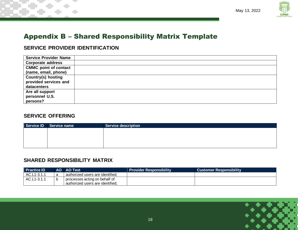

## Appendix B – Shared Responsibility Matrix Template

### **SERVICE PROVIDER IDENTIFICATION**

| <b>Service Provider Name</b> |  |
|------------------------------|--|
| <b>Corporate address</b>     |  |
| <b>CMMC point of contact</b> |  |
| (name, email, phone)         |  |
| <b>Country(s) hosting</b>    |  |
| provided services and        |  |
| datacenters                  |  |
| Are all support              |  |
| personnel U.S.               |  |
| persons?                     |  |

#### **SERVICE OFFERING**

| Service ID Service name | <b>Service description</b> |
|-------------------------|----------------------------|
|                         |                            |
|                         |                            |
|                         |                            |
|                         |                            |

#### **SHARED RESPONSIBILITY MATRIX**

| <b>Practice ID</b> | AO AO Text                       | <b>Provider Responsibility</b> | <b>Customer Responsibility</b> |
|--------------------|----------------------------------|--------------------------------|--------------------------------|
| AC.L1-3.1.1        | authorized users are identified; |                                |                                |
| AC.L1-3.1.1        | processes acting on behalf of    |                                |                                |
|                    | authorized users are identified. |                                |                                |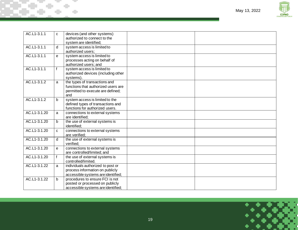

٦

| AC.L1-3.1.1    | C            | devices (and other systems)<br>authorized to connect to the                                                      |  |
|----------------|--------------|------------------------------------------------------------------------------------------------------------------|--|
|                |              | system are identified;                                                                                           |  |
| AC.L1-3.1.1    | d            | system access is limited to<br>authorized users:                                                                 |  |
| AC.L1-3.1.1    | e            | system access is limited to<br>processes acting on behalf of<br>authorized users; and                            |  |
| AC.L1-3.1.1    | $\mathsf{f}$ | system access is limited to<br>authorized devices (including other<br>systems).                                  |  |
| AC.L1-3.1.2    | a            | the types of transactions and<br>functions that authorized users are<br>permitted to execute are defined;<br>and |  |
| AC.L1-3.1.2    | $\mathsf{b}$ | system access is limited to the<br>defined types of transactions and<br>functions for authorized users.          |  |
| AC.L1-3.1.20   | a            | connections to external systems<br>are identified;                                                               |  |
| AC.L1-3.1.20   | $\mathbf b$  | the use of external systems is<br>identified;                                                                    |  |
| AC.L1-3.1.20   | C            | connections to external systems<br>are verified;                                                                 |  |
| AC.L1-3.1.20   | d            | the use of external systems is<br>verified:                                                                      |  |
| AC.L1-3.1.20   | e            | connections to external systems<br>are controlled/limited; and                                                   |  |
| AC.L1-3.1.20   | $\mathbf f$  | the use of external systems is<br>controlled/limited.                                                            |  |
| AC.L1-3.1.22   | a            | individuals authorized to post or<br>process information on publicly<br>accessible systems are identified;       |  |
| $AC.L1-3.1.22$ | $\mathbf b$  | procedures to ensure FCI is not<br>posted or processed on publicly<br>accessible systems are identified;         |  |

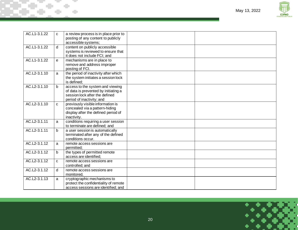

| AC.L1-3.1.22 | $\mathbf{C}$ | a review process is in place prior to<br>posting of any content to publicly<br>accessible systems;                                      |  |
|--------------|--------------|-----------------------------------------------------------------------------------------------------------------------------------------|--|
| AC.L1-3.1.22 | d            | content on publicly accessible<br>systems is reviewed to ensure that<br>it does not include FCI; and                                    |  |
| AC.L1-3.1.22 | e            | mechanisms are in place to<br>remove and address improper<br>posting of FCI.                                                            |  |
| AC.L2-3.1.10 | a            | the period of inactivity after which<br>the system initiates a session lock<br>is defined;                                              |  |
| AC.L2-3.1.10 | $\mathbf b$  | access to the system and viewing<br>of data is prevented by initiating a<br>session lock after the defined<br>period of inactivity; and |  |
| AC.L2-3.1.10 | C            | previously visible information is<br>concealed via a pattern-hiding<br>display after the defined period of<br>inactivity.               |  |
| AC.L2-3.1.11 | a            | conditions requiring a user session<br>to terminate are defined; and                                                                    |  |
| AC.L2-3.1.11 | b            | a user session is automatically<br>terminated after any of the defined<br>conditions occur.                                             |  |
| AC.L2-3.1.12 | a            | remote access sessions are<br>permitted:                                                                                                |  |
| AC.L2-3.1.12 | $\mathbf b$  | the types of permitted remote<br>access are identified;                                                                                 |  |
| AC.L2-3.1.12 | $\mathbf{C}$ | remote access sessions are<br>controlled; and                                                                                           |  |
| AC.L2-3.1.12 | d            | remote access sessions are<br>monitored.                                                                                                |  |
| AC.L2-3.1.13 | a            | cryptographic mechanisms to<br>protect the confidentiality of remote<br>access sessions are identified; and                             |  |

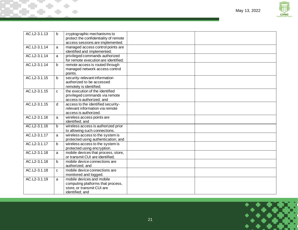

| AC.L2-3.1.13 | b            | cryptographic mechanisms to<br>protect the confidentiality of remote                                            |  |
|--------------|--------------|-----------------------------------------------------------------------------------------------------------------|--|
|              |              | access sessions are implemented.                                                                                |  |
| AC.L2-3.1.14 | a            | managed access control points are<br>identified and implemented;                                                |  |
| AC.L2-3.1.14 | a            | privileged commands authorized<br>for remote execution are identified;                                          |  |
| AC.L2-3.1.14 | b            | remote access is routed through<br>managed network access control<br>points.                                    |  |
| AC.L2-3.1.15 | b            | security-relevant information<br>authorized to be accessed<br>remotely is identified;                           |  |
| AC.L2-3.1.15 | $\mathbf{C}$ | the execution of the identified<br>privileged commands via remote<br>access is authorized; and                  |  |
| AC.L2-3.1.15 | $\mathsf{d}$ | access to the identified security-<br>relevant information via remote<br>access is authorized.                  |  |
| AC.L2-3.1.16 | a            | wireless access points are<br>identified; and                                                                   |  |
| AC.L2-3.1.16 | b.           | wireless access is authorized prior<br>to allowing such connections.                                            |  |
| AC.L2-3.1.17 | a            | wireless access to the system is<br>protected using authentication; and                                         |  |
| AC.L2-3.1.17 | b            | wireless access to the system is<br>protected using encryption.                                                 |  |
| AC.L2-3.1.18 | a            | mobile devices that process, store,<br>or transmit CUI are identified;                                          |  |
| AC.L2-3.1.18 | $\mathbf b$  | mobile device connections are<br>authorized; and                                                                |  |
| AC.L2-3.1.18 | $\mathbf{C}$ | mobile device connections are<br>monitored and logged.                                                          |  |
| AC.L2-3.1.19 | a            | mobile devices and mobile<br>computing platforms that process,<br>store, or transmit CUI are<br>identified; and |  |

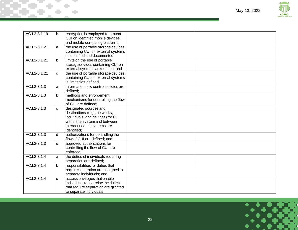

| AC.L2-3.1.19  | b            | encryption is employed to protect<br>CUI on identified mobile devices                                                                                                      |  |
|---------------|--------------|----------------------------------------------------------------------------------------------------------------------------------------------------------------------------|--|
|               |              | and mobile computing platforms.                                                                                                                                            |  |
| AC.L2-3.1.21  | a            | the use of portable storage devices<br>containing CUI on external systems<br>is identified and documented;                                                                 |  |
| AC.L2-3.1.21  | b            | limits on the use of portable<br>storage devices containing CUI on<br>external systems are defined; and                                                                    |  |
| AC.L2-3.1.21  | $\mathbf{C}$ | the use of portable storage devices<br>containing CUI on external systems<br>is limited as defined.                                                                        |  |
| $AC.L2-3.1.3$ | a            | information flow control policies are<br>defined:                                                                                                                          |  |
| AC.L2-3.1.3   | $\mathbf b$  | methods and enforcement<br>mechanisms for controlling the flow<br>of CUI are defined;                                                                                      |  |
| AC.L2-3.1.3   | $\mathbf{C}$ | designated sources and<br>destinations (e.g., networks,<br>individuals, and devices) for CUI<br>within the system and between<br>interconnected systems are<br>identified; |  |
| AC.L2-3.1.3   | d            | authorizations for controlling the<br>flow of CUI are defined; and                                                                                                         |  |
| AC.L2-3.1.3   | e            | approved authorizations for<br>controlling the flow of CUI are<br>enforced.                                                                                                |  |
| AC.L2-3.1.4   | a            | the duties of individuals requiring<br>separation are defined;                                                                                                             |  |
| AC.L2-3.1.4   | $\mathbf b$  | responsibilities for duties that<br>require separation are assigned to<br>separate individuals; and                                                                        |  |
| AC.L2-3.1.4   | C.           | access privileges that enable<br>individuals to exercise the duties<br>that require separation are granted<br>to separate individuals.                                     |  |

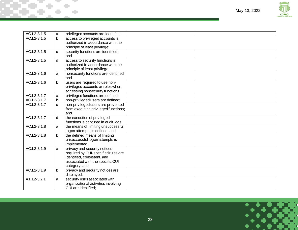

| AC.L2-3.1.5 | a                 | privileged accounts are identified;                                     |  |
|-------------|-------------------|-------------------------------------------------------------------------|--|
| AC.L2-3.1.5 | $\mathsf{b}$      | access to privileged accounts is                                        |  |
|             |                   | authorized in accordance with the                                       |  |
|             |                   | principle of least privilege;                                           |  |
| AC.L2-3.1.5 | C                 | security functions are identified;                                      |  |
|             |                   | and                                                                     |  |
| AC.L2-3.1.5 | d                 | access to security functions is                                         |  |
|             |                   | authorized in accordance with the                                       |  |
|             |                   | principle of least privilege.                                           |  |
| AC.L2-3.1.6 | a                 | nonsecurity functions are identified;                                   |  |
|             |                   | and                                                                     |  |
| AC.L2-3.1.6 | b                 | users are required to use non-                                          |  |
|             |                   | privileged accounts or roles when                                       |  |
| AC.L2-3.1.7 |                   | accessing nonsecurity functions.<br>privileged functions are defined;   |  |
| AC.L2-3.1.7 | a                 |                                                                         |  |
| AC.L2-3.1.7 | b<br>$\mathbf{C}$ | non-privileged users are defined;<br>non-privileged users are prevented |  |
|             |                   | from executing privileged functions;                                    |  |
|             |                   | and                                                                     |  |
| AC.L2-3.1.7 | d                 | the execution of privileged                                             |  |
|             |                   | functions is captured in audit logs.                                    |  |
| AC.L2-3.1.8 | a                 | the means of limiting unsuccessful                                      |  |
|             |                   | logon attempts is defined; and                                          |  |
| AC.L2-3.1.8 | b                 | the defined means of limiting                                           |  |
|             |                   | unsuccessful logon attempts is                                          |  |
|             |                   | implemented.                                                            |  |
| AC.L2-3.1.9 | a                 | privacy and security notices                                            |  |
|             |                   | required by CUI-specified rules are                                     |  |
|             |                   | identified, consistent, and                                             |  |
|             |                   | associated with the specific CUI                                        |  |
|             |                   | category; and                                                           |  |
| AC.L2-3.1.9 | b                 | privacy and security notices are                                        |  |
|             |                   | displayed.                                                              |  |
| AT.L2-3.2.1 | a                 | security risks associated with                                          |  |
|             |                   | organizational activities involving                                     |  |
|             |                   | CUI are identified:                                                     |  |

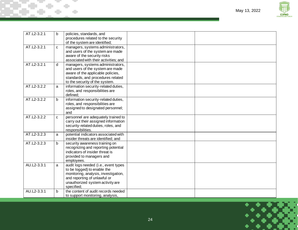



| AT.L2-3.2.1 | b | policies, standards, and<br>procedures related to the security                                                                                                                                |  |
|-------------|---|-----------------------------------------------------------------------------------------------------------------------------------------------------------------------------------------------|--|
|             |   | of the system are identified;                                                                                                                                                                 |  |
| AT.L2-3.2.1 | C | managers, systems administrators,<br>and users of the system are made<br>aware of the security risks<br>associated with their activities; and                                                 |  |
| AT.L2-3.2.1 | d | managers, systems administrators,<br>and users of the system are made<br>aware of the applicable policies,<br>standards, and procedures related<br>to the security of the system.             |  |
| AT.L2-3.2.2 | a | information security-related duties,<br>roles, and responsibilities are<br>defined:                                                                                                           |  |
| AT.L2-3.2.2 | b | information security-related duties,<br>roles, and responsibilities are<br>assigned to designated personnel;<br>and                                                                           |  |
| AT.L2-3.2.2 | C | personnel are adequately trained to<br>carry out their assigned information<br>security-related duties, roles, and<br>responsibilities.                                                       |  |
| AT.L2-3.2.3 | a | potential indicators associated with<br>insider threats are identified; and                                                                                                                   |  |
| AT.L2-3.2.3 | b | security awareness training on<br>recognizing and reporting potential<br>indicators of insider threat is<br>provided to managers and<br>employees.                                            |  |
| AU.L2-3.3.1 | a | audit logs needed (i.e., event types<br>to be logged) to enable the<br>monitoring, analysis, investigation,<br>and reporting of unlawful or<br>unauthorized system activity are<br>specified; |  |
| AU.L2-3.3.1 | b | the content of audit records needed<br>to support monitoring, analysis,                                                                                                                       |  |

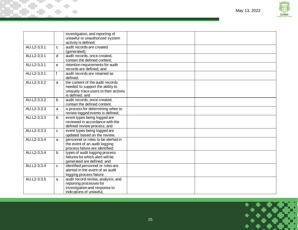

|             |              | investigation, and reporting of<br>unlawful or unauthorized system                                                               |  |
|-------------|--------------|----------------------------------------------------------------------------------------------------------------------------------|--|
|             |              | activity is defined;                                                                                                             |  |
| AU.L2-3.3.1 | $\mathbf{C}$ | audit records are created<br>(generated);                                                                                        |  |
| AU.L2-3.3.1 | d            | audit records, once created,<br>contain the defined content;                                                                     |  |
| AU.L2-3.3.1 | e            | retention requirements for audit<br>records are defined; and                                                                     |  |
| AU.L2-3.3.1 | f            | audit records are retained as<br>defined.                                                                                        |  |
| AU.L2-3.3.2 | a            | the content of the audit records<br>needed to support the ability to<br>uniquely trace users to their actions<br>is defined; and |  |
| AU.L2-3.3.2 | $\mathbf b$  | audit records, once created,<br>contain the defined content.                                                                     |  |
| AU.L2-3.3.3 | a            | a process for determining when to<br>review logged events is defined;                                                            |  |
| AU.L2-3.3.3 | $\mathbf b$  | event types being logged are<br>reviewed in accordance with the<br>defined review process; and                                   |  |
| AU.L2-3.3.3 | $\mathbf{C}$ | event types being logged are<br>updated based on the review.                                                                     |  |
| AU.L2-3.3.4 | a            | personnel or roles to be alerted in<br>the event of an audit logging<br>process failure are identified;                          |  |
| AU.L2-3.3.4 | b            | types of audit logging process<br>failures for which alert will be<br>generated are defined; and                                 |  |
| AU.L2-3.3.4 | C            | identified personnel or roles are<br>alerted in the event of an audit<br>logging process failure.                                |  |
| AU.L2-3.3.5 | a            | audit record review, analysis, and<br>reporting processes for<br>investigation and response to<br>indications of unlawful,       |  |

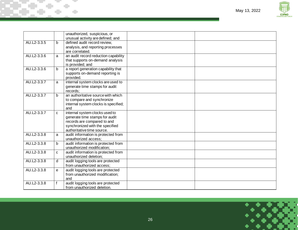

|             |   | unauthorized, suspicious, or<br>unusual activity are defined; and                                                                                                |  |
|-------------|---|------------------------------------------------------------------------------------------------------------------------------------------------------------------|--|
| AU.L2-3.3.5 | b | defined audit record review,<br>analysis, and reporting processes<br>are correlated.                                                                             |  |
| AU.L2-3.3.6 | a | an audit record reduction capability<br>that supports on-demand analysis<br>is provided; and                                                                     |  |
| AU.L2-3.3.6 | b | a report generation capability that<br>supports on-demand reporting is<br>provided.                                                                              |  |
| AU.L2-3.3.7 | a | internal system clocks are used to<br>generate time stamps for audit<br>records:                                                                                 |  |
| AU.L2-3.3.7 | b | an authoritative source with which<br>to compare and synchronize<br>internal system clocks is specified;<br>and                                                  |  |
| AU.L2-3.3.7 | C | internal system clocks used to<br>generate time stamps for audit<br>records are compared to and<br>synchronized with the specified<br>authoritative time source. |  |
| AU.L2-3.3.8 | a | audit information is protected from<br>unauthorized access;                                                                                                      |  |
| AU.L2-3.3.8 | b | audit information is protected from<br>unauthorized modification;                                                                                                |  |
| AU.L2-3.3.8 | C | audit information is protected from<br>unauthorized deletion;                                                                                                    |  |
| AU.L2-3.3.8 | d | audit logging tools are protected<br>from unauthorized access;                                                                                                   |  |
| AU.L2-3.3.8 | e | audit logging tools are protected<br>from unauthorized modification;<br>and                                                                                      |  |
| AU.L2-3.3.8 | f | audit logging tools are protected<br>from unauthorized deletion.                                                                                                 |  |

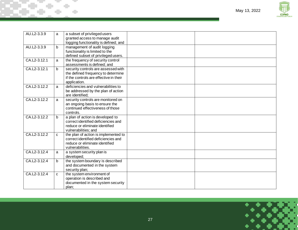

| AU.L2-3.3.9  | a            | a subset of privileged users                                       |  |
|--------------|--------------|--------------------------------------------------------------------|--|
|              |              | granted access to manage audit                                     |  |
|              |              | logging functionality is defined; and                              |  |
| AU.L2-3.3.9  | $\mathsf{b}$ | management of audit logging                                        |  |
|              |              | functionality is limited to the                                    |  |
|              |              | defined subset of privileged users.                                |  |
| CA.L2-3.12.1 | a            | the frequency of security control                                  |  |
|              |              | assessments is defined; and                                        |  |
| CA.L2-3.12.1 | $\mathsf{b}$ | security controls are assessed with                                |  |
|              |              | the defined frequency to determine                                 |  |
|              |              | if the controls are effective in their                             |  |
|              |              | application.                                                       |  |
| CA.L2-3.12.2 | a            | deficiencies and vulnerabilities to                                |  |
|              |              | be addressed by the plan of action                                 |  |
|              |              | are identified;                                                    |  |
| CA.L2-3.12.2 | a            | security controls are monitored on                                 |  |
|              |              | an ongoing basis to ensure the<br>continued effectiveness of those |  |
|              |              | controls.                                                          |  |
| CA.L2-3.12.2 | $\mathbf b$  | a plan of action is developed to                                   |  |
|              |              | correct identified deficiencies and                                |  |
|              |              | reduce or eliminate identified                                     |  |
|              |              | vulnerabilities; and                                               |  |
| CA.L2-3.12.2 | C            | the plan of action is implemented to                               |  |
|              |              | correct identified deficiencies and                                |  |
|              |              | reduce or eliminate identified                                     |  |
|              |              | vulnerabilities.                                                   |  |
| CA.L2-3.12.4 | a            | a system security plan is                                          |  |
|              |              | developed;                                                         |  |
| CA.L2-3.12.4 | $\mathsf{b}$ | the system boundary is described                                   |  |
|              |              | and documented in the system                                       |  |
|              |              | security plan;                                                     |  |
| CA.L2-3.12.4 | C            | the system environment of                                          |  |
|              |              | operation is described and                                         |  |
|              |              | documented in the system security                                  |  |
|              |              | plan;                                                              |  |

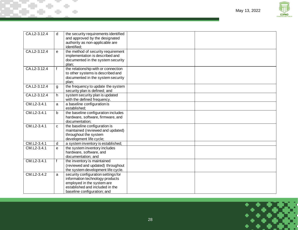

| CA.L2-3.12.4 | d | the security requirements identified<br>and approved by the designated<br>authority as non-applicable are<br>identified:                                               |  |
|--------------|---|------------------------------------------------------------------------------------------------------------------------------------------------------------------------|--|
| CA.L2-3.12.4 | e | the method of security requirement<br>implementation is described and<br>documented in the system security<br>plan;                                                    |  |
| CA.L2-3.12.4 | f | the relationship with or connection<br>to other systems is described and<br>documented in the system security<br>plan;                                                 |  |
| CA.L2-3.12.4 | g | the frequency to update the system<br>security plan is defined; and                                                                                                    |  |
| CA.L2-3.12.4 | h | system security plan is updated<br>with the defined frequency.                                                                                                         |  |
| CM.L2-3.4.1  | a | a baseline configuration is<br>established;                                                                                                                            |  |
| CM.L2-3.4.1  | b | the baseline configuration includes<br>hardware, software, firmware, and<br>documentation:                                                                             |  |
| CM.L2-3.4.1  | C | the baseline configuration is<br>maintained (reviewed and updated)<br>throughout the system<br>development life cycle;                                                 |  |
| CM.L2-3.4.1  | d | a system inventory is established;                                                                                                                                     |  |
| CM.L2-3.4.1  | e | the system inventory includes<br>hardware, software, and<br>documentation; and                                                                                         |  |
| CM.L2-3.4.1  | f | the inventory is maintained<br>(reviewed and updated) throughout<br>the system development life cycle.                                                                 |  |
| CM.L2-3.4.2  | a | security configuration settings for<br>information technology products<br>employed in the system are<br>established and included in the<br>baseline configuration; and |  |

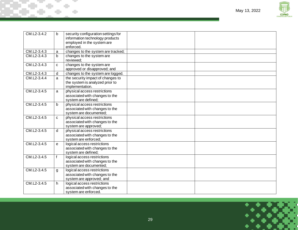

| CM.L2-3.4.2 | b            | security configuration settings for<br>information technology products<br>employed in the system are |  |
|-------------|--------------|------------------------------------------------------------------------------------------------------|--|
|             |              | enforced.                                                                                            |  |
| CM.L2-3.4.3 | a            | changes to the system are tracked;                                                                   |  |
| CM.L2-3.4.3 | b            | changes to the system are<br>reviewed;                                                               |  |
| CM.L2-3.4.3 | $\mathbf{C}$ | changes to the system are                                                                            |  |
|             |              | approved or disapproved; and                                                                         |  |
| CM.L2-3.4.3 | d            | changes to the system are logged.                                                                    |  |
| CM.L2-3.4.4 | a            | the security impact of changes to                                                                    |  |
|             |              | the system is analyzed prior to                                                                      |  |
|             |              | implementation.                                                                                      |  |
| CM.L2-3.4.5 | a            | physical access restrictions                                                                         |  |
|             |              | associated with changes to the<br>system are defined;                                                |  |
| CM.L2-3.4.5 | <sub>b</sub> | physical access restrictions                                                                         |  |
|             |              | associated with changes to the                                                                       |  |
|             |              | system are documented;                                                                               |  |
| CM.L2-3.4.5 | $\mathbf{C}$ | physical access restrictions                                                                         |  |
|             |              | associated with changes to the                                                                       |  |
|             |              | system are approved;                                                                                 |  |
| CM.L2-3.4.5 | d            | physical access restrictions                                                                         |  |
|             |              | associated with changes to the                                                                       |  |
|             |              | system are enforced;                                                                                 |  |
| CM.L2-3.4.5 | e            | logical access restrictions                                                                          |  |
|             |              | associated with changes to the                                                                       |  |
|             |              | system are defined;                                                                                  |  |
| CM.L2-3.4.5 | f            | logical access restrictions                                                                          |  |
|             |              | associated with changes to the<br>system are documented;                                             |  |
| CM.L2-3.4.5 |              | logical access restrictions                                                                          |  |
|             | g            | associated with changes to the                                                                       |  |
|             |              | system are approved; and                                                                             |  |
| CM.L2-3.4.5 | h            | logical access restrictions                                                                          |  |
|             |              | associated with changes to the                                                                       |  |
|             |              | system are enforced.                                                                                 |  |
|             |              |                                                                                                      |  |

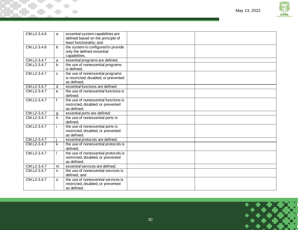

| CM.L2-3.4.6 | a            | essential system capabilities are<br>defined based on the principle of<br>least functionality; and |  |
|-------------|--------------|----------------------------------------------------------------------------------------------------|--|
| CM.L2-3.4.6 | $\mathsf{b}$ | the system is configured to provide<br>only the defined essential<br>capabilities.                 |  |
| CM.L2-3.4.7 | a            | essential programs are defined;                                                                    |  |
| CM.L2-3.4.7 | <sub>b</sub> | the use of nonessential programs<br>is defined:                                                    |  |
| CM.L2-3.4.7 | $\mathbf{C}$ | the use of nonessential programs<br>is restricted, disabled, or prevented<br>as defined:           |  |
| CM.L2-3.4.7 | d            | essential functions are defined;                                                                   |  |
| CM.L2-3.4.7 | e            | the use of nonessential functions is<br>defined;                                                   |  |
| CM.L2-3.4.7 | $\mathsf{f}$ | the use of nonessential functions is<br>restricted, disabled, or prevented<br>as defined:          |  |
| CM.L2-3.4.7 | g            | essential ports are defined;                                                                       |  |
| CM.L2-3.4.7 | h.           | the use of nonessential ports is<br>defined:                                                       |  |
| CM.L2-3.4.7 |              | the use of nonessential ports is<br>restricted, disabled, or prevented<br>as defined:              |  |
| CM.L2-3.4.7 |              | essential protocols are defined;                                                                   |  |
| CM.L2-3.4.7 | k            | the use of nonessential protocols is<br>defined:                                                   |  |
| CM.L2-3.4.7 |              | the use of nonessential protocols is<br>restricted, disabled, or prevented<br>as defined:          |  |
| CM.L2-3.4.7 | m            | essential services are defined;                                                                    |  |
| CM.L2-3.4.7 | n.           | the use of nonessential services is<br>defined; and                                                |  |
| CM.L2-3.4.7 | $\Omega$     | the use of nonessential services is<br>restricted, disabled, or prevented<br>as defined.           |  |

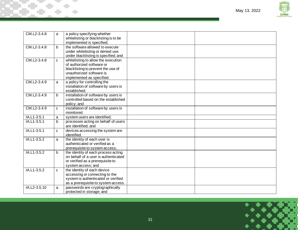

| CM.L2-3.4.8  | a            | a policy specifying whether<br>whitelisting or blacklisting is to be |  |
|--------------|--------------|----------------------------------------------------------------------|--|
|              |              | implemented is specified;                                            |  |
| CM.L2-3.4.8  | <sub>b</sub> | the software allowed to execute                                      |  |
|              |              | under whitelisting or denied use                                     |  |
|              |              | under blacklisting is specified; and                                 |  |
| CM.L2-3.4.8  | $\mathbf{C}$ | whitelisting to allow the execution                                  |  |
|              |              | of authorized software or                                            |  |
|              |              | blacklisting to prevent the use of                                   |  |
|              |              | unauthorized software is                                             |  |
|              |              | implemented as specified.                                            |  |
| CM.L2-3.4.9  | a            | a policy for controlling the                                         |  |
|              |              | installation of software by users is                                 |  |
|              |              | established;                                                         |  |
| CM.L2-3.4.9  | b            | installation of software by users is                                 |  |
|              |              | controlled based on the established                                  |  |
|              |              | policy; and                                                          |  |
| CM.L2-3.4.9  | C            | installation of software by users is                                 |  |
|              |              | monitored.                                                           |  |
| IA.L1-3.5.1  | a            | system users are identified;                                         |  |
| IA.L1-3.5.1  | b            | processes acting on behalf of users                                  |  |
|              |              | are identified; and                                                  |  |
| IA.L1-3.5.1  | $\mathbf{C}$ | devices accessing the system are                                     |  |
|              |              | identified.                                                          |  |
| IA.L1-3.5.2  | a            | the identity of each user is                                         |  |
|              |              | authenticated or verified as a                                       |  |
|              |              | prerequisite to system access;                                       |  |
| IA.L1-3.5.2  | b            | the identity of each process acting                                  |  |
|              |              | on behalf of a user is authenticated                                 |  |
|              |              | or verified as a prerequisite to                                     |  |
|              |              | system access; and                                                   |  |
| IA.L1-3.5.2  | C            | the identity of each device                                          |  |
|              |              | accessing or connecting to the                                       |  |
|              |              | system is authenticated or verified                                  |  |
|              |              | as a prerequisite to system access.                                  |  |
| IA.L2-3.5.10 | a            | passwords are cryptographically                                      |  |
|              |              | protected in storage; and                                            |  |

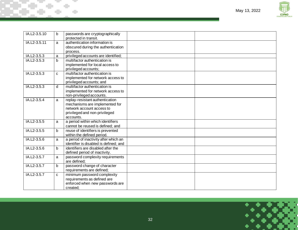

| IA.L2-3.5.10 | b            | passwords are cryptographically<br>protected in transit. |  |
|--------------|--------------|----------------------------------------------------------|--|
| IA.L2-3.5.11 | a            | authentication information is                            |  |
|              |              | obscured during the authentication                       |  |
|              |              | process.                                                 |  |
| IA.L2-3.5.3  | a            | privileged accounts are identified;                      |  |
| IA.L2-3.5.3  | $\mathbf b$  | multifactor authentication is                            |  |
|              |              | implemented for local access to                          |  |
|              |              | privileged accounts;                                     |  |
| IA.L2-3.5.3  | $\mathbf{C}$ | multifactor authentication is                            |  |
|              |              | implemented for network access to                        |  |
|              |              | privileged accounts; and                                 |  |
| IA.L2-3.5.3  | d            | multifactor authentication is                            |  |
|              |              | implemented for network access to                        |  |
|              |              | non-privileged accounts.                                 |  |
| IA.L2-3.5.4  | a            | replay-resistant authentication                          |  |
|              |              | mechanisms are implemented for                           |  |
|              |              | network account access to                                |  |
|              |              | privileged and non-privileged                            |  |
|              |              | accounts.                                                |  |
| IA.L2-3.5.5  | a            | a period within which identifiers                        |  |
|              |              | cannot be reused is defined; and                         |  |
| IA.L2-3.5.5  | b            | reuse of identifiers is prevented                        |  |
|              |              | within the defined period.                               |  |
| IA.L2-3.5.6  | a            | a period of inactivity after which an                    |  |
|              |              | identifier is disabled is defined; and                   |  |
| IA.L2-3.5.6  | b            | identifiers are disabled after the                       |  |
|              |              | defined period of inactivity.                            |  |
| IA.L2-3.5.7  | a            | password complexity requirements                         |  |
|              |              | are defined:                                             |  |
| IA.L2-3.5.7  | þ            | password change of character                             |  |
|              |              | requirements are defined;                                |  |
| IA.L2-3.5.7  | $\mathbf{C}$ | minimum password complexity                              |  |
|              |              | requirements as defined are                              |  |
|              |              | enforced when new passwords are                          |  |
|              |              | created;                                                 |  |

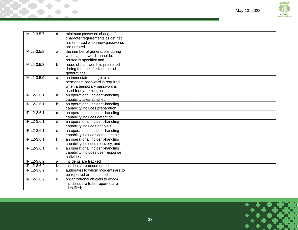

| IA.L2-3.5.7 | d            | minimum password change of<br>character requirements as defined<br>are enforced when new passwords<br>are created.   |  |
|-------------|--------------|----------------------------------------------------------------------------------------------------------------------|--|
| IA.L2-3.5.8 | a            | the number of generations during<br>which a password cannot be<br>reused is specified and                            |  |
| IA.L2-3.5.8 | $\mathbf b$  | reuse of passwords is prohibited<br>during the specified number of<br>generations.                                   |  |
| IA.L2-3.5.9 | a            | an immediate change to a<br>permanent password is required<br>when a temporary password is<br>used for system logon. |  |
| IR.L2-3.6.1 | a            | an operational incident-handling<br>capability is established;                                                       |  |
| IR.L2-3.6.1 | b            | an operational incident-handling<br>capability includes preparation;                                                 |  |
| IR.L2-3.6.1 | C            | an operational incident-handling<br>capability includes detection;                                                   |  |
| IR.L2-3.6.1 | d            | an operational incident-handling<br>capability includes analysis;                                                    |  |
| IR.L2-3.6.1 | $\mathbf{e}$ | an operational incident-handling<br>capability includes containment;                                                 |  |
| IR.L2-3.6.1 | $\mathbf{f}$ | an operational incident-handling<br>capability includes recovery; and                                                |  |
| IR.L2-3.6.1 | g            | an operational incident-handling<br>capability includes user response<br>activities.                                 |  |
| IR.L2-3.6.2 | a            | incidents are tracked;                                                                                               |  |
| IR.L2-3.6.2 | $\mathsf{b}$ | incidents are documented;                                                                                            |  |
| IR.L2-3.6.2 | C            | authorities to whom incidents are to<br>be reported are identified;                                                  |  |
| IR.L2-3.6.2 | d            | organizational officials to whom<br>incidents are to be reported are<br>identified:                                  |  |

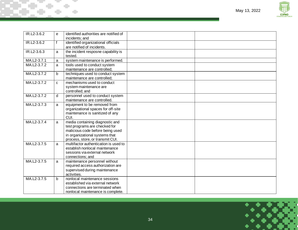

| IR.L2-3.6.2 | e  | identified authorities are notified of |  |
|-------------|----|----------------------------------------|--|
|             |    | incidents; and                         |  |
| IR.L2-3.6.2 | f  | identified organizational officials    |  |
|             |    | are notified of incidents.             |  |
| IR.L2-3.6.3 | a  | the incident resposne capability is    |  |
|             |    | tested.                                |  |
| MA.L2-3.7.1 | a  | system maintenance is performed.       |  |
| MA.L2-3.7.2 | a  | tools used to conduct system           |  |
|             |    | maintenance are controlled;            |  |
| MA.L2-3.7.2 | b  | techniques used to conduct system      |  |
|             |    | maintenance are controlled;            |  |
| MA.L2-3.7.2 | C. | mechanisms used to conduct             |  |
|             |    | system maintenance are                 |  |
|             |    | controlled; and                        |  |
| MA.L2-3.7.2 | q  | personnel used to conduct system       |  |
|             |    | maintenance are controlled.            |  |
| MA.L2-3.7.3 | a  | equipment to be removed from           |  |
|             |    | organizational spaces for off-site     |  |
|             |    | maintenance is sanitized of any        |  |
|             |    | CUI.                                   |  |
| MA.L2-3.7.4 | a  | media containing diagnostic and        |  |
|             |    | test programs are checked for          |  |
|             |    | malicious code before being used       |  |
|             |    | in organizational systems that         |  |
|             |    | process, store, or transmit CUI.       |  |
| MA.L2-3.7.5 | a  | multifactor authentication is used to  |  |
|             |    | establish nonlocal maintenance         |  |
|             |    | sessions via external network          |  |
|             |    | connections; and                       |  |
| MA.L2-3.7.5 | a  | maintenance personnel without          |  |
|             |    | required access authorization are      |  |
|             |    | supervised during maintenance          |  |
|             |    | activities.                            |  |
| MA.L2-3.7.5 | b. | nonlocal maintenance sessions          |  |
|             |    | established via external network       |  |
|             |    | connections are terminated when        |  |
|             |    | nonlocal maintenance is complete.      |  |

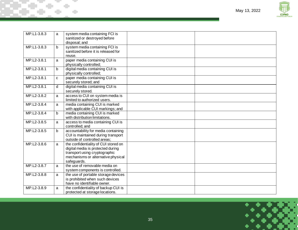

| MP.L1-3.8.3 | a            | system media containing FCI is<br>sanitized or destroyed before<br>disposal; and                                                                                |  |
|-------------|--------------|-----------------------------------------------------------------------------------------------------------------------------------------------------------------|--|
| MP.L1-3.8.3 | b            | system media containing FCI is<br>sanitized before it is released for<br>reuse.                                                                                 |  |
| MP.L2-3.8.1 | a            | paper media containing CUI is<br>physically controlled;                                                                                                         |  |
| MP.L2-3.8.1 | b            | digital media containing CUI is<br>physically controlled;                                                                                                       |  |
| MP.L2-3.8.1 | $\mathbf{C}$ | paper media containing CUI is<br>securely stored; and                                                                                                           |  |
| MP.L2-3.8.1 | d            | digital media containing CUI is<br>securely stored.                                                                                                             |  |
| MP.L2-3.8.2 | a            | access to CUI on system media is<br>limited to authorized users.                                                                                                |  |
| MP.L2-3.8.4 | a            | media containing CUI is marked<br>with applicable CUI markings; and                                                                                             |  |
| MP.L2-3.8.4 | $\mathsf b$  | media containing CUI is marked<br>with distribution limitations.                                                                                                |  |
| MP.L2-3.8.5 | a            | access to media containing CUI is<br>controlled; and                                                                                                            |  |
| MP.L2-3.8.5 | b            | accountability for media containing<br>CUI is maintained during transport<br>outside of controlled areas;                                                       |  |
| MP.L2-3.8.6 | a            | the confidentiality of CUI stored on<br>digital media is protected during<br>transport using cryptographic<br>mechanisms or alternative physical<br>safeguards. |  |
| MP.L2-3.8.7 | a            | the use of removable media on<br>system components is controlled.                                                                                               |  |
| MP.L2-3.8.8 | a            | the use of portable storage devices<br>is prohibited when such devices<br>have no identifiable owner.                                                           |  |
| MP.L2-3.8.9 | a            | the confidentiality of backup CUI is<br>protected at storage locations.                                                                                         |  |

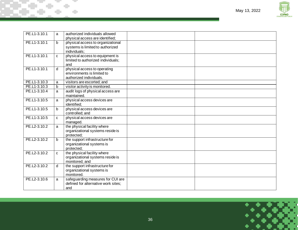

| PE.L1-3.10.1 | a | authorized individuals allowed<br>physical access are identified;                     |  |
|--------------|---|---------------------------------------------------------------------------------------|--|
| PE.L1-3.10.1 | b | physical access to organizational<br>systems is limited to authorized<br>individuals: |  |
| PE.L1-3.10.1 | C | physical access to equipment is<br>limited to authorized individuals;<br>and          |  |
| PE.L1-3.10.1 | d | physical access to operating<br>environments is limited to<br>authorized individuals. |  |
| PE.L1-3.10.3 | a | visitors are escorted; and                                                            |  |
| PE.L1-3.10.3 | b | visitor activity is monitored.                                                        |  |
| PE.L1-3.10.4 | a | audit logs of physical access are<br>maintained.                                      |  |
| PE.L1-3.10.5 | a | physical access devices are<br>identified:                                            |  |
| PE.L1-3.10.5 | b | physical access devices are<br>controlled; and                                        |  |
| PE.L1-3.10.5 | C | physical access devices are<br>managed.                                               |  |
| PE.L2-3.10.2 | a | the physical facility where<br>organizational systems reside is<br>protected;         |  |
| PE.L2-3.10.2 | b | the support infrastructure for<br>organizational systems is<br>protected;             |  |
| PE.L2-3.10.2 | C | the physical facility where<br>organizational systems reside is<br>monitored; and     |  |
| PE.L2-3.10.2 | d | the support infrastructure for<br>organizational systems is<br>monitored.             |  |
| PE.L2-3.10.6 | a | safeguarding measures for CUI are<br>defined for alternative work sites;<br>and       |  |
|              |   |                                                                                       |  |

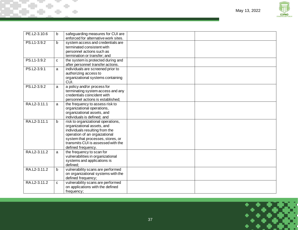

| PE.L2-3.10.6 | b            | safeguarding measures for CUI are                                |  |
|--------------|--------------|------------------------------------------------------------------|--|
|              |              | enforced for alternative work sites.                             |  |
| PS.L1-3.9.2  | $\mathbf b$  | system access and credentials are                                |  |
|              |              | terminated consistent with                                       |  |
|              |              | personnel actions such as                                        |  |
|              |              | termination or transfer; and                                     |  |
| PS.L1-3.9.2  | C            | the system is protected during and                               |  |
|              |              | after personnel transfer actions.                                |  |
| PS.L2-3.9.1  | a            | individuals are screened prior to                                |  |
|              |              | authorizing access to                                            |  |
|              |              | organizational systems containing                                |  |
|              |              | CUI.                                                             |  |
| PS.L2-3.9.2  | a            | a policy and/or process for                                      |  |
|              |              | terminating system access and any<br>credentials coincident with |  |
|              |              |                                                                  |  |
| RA.L2-3.11.1 |              | personnel actions is established;                                |  |
|              | a            | the frequency to assess risk to<br>organizational operations,    |  |
|              |              | organizational assets, and                                       |  |
|              |              | individuals is defined; and                                      |  |
| RA.L2-3.11.1 | $\mathbf b$  | risk to organizational operations,                               |  |
|              |              | organizational assets, and                                       |  |
|              |              | individuals resulting from the                                   |  |
|              |              | operation of an orgaizational                                    |  |
|              |              | system that processes, stores, or                                |  |
|              |              | transmits CUI is assessed with the                               |  |
|              |              | defined frequency.                                               |  |
| RA.L2-3.11.2 | a            | the frequency to scan for                                        |  |
|              |              | vulnerabilities in organizational                                |  |
|              |              | systems and applications is                                      |  |
|              |              | defined:                                                         |  |
| RA.L2-3.11.2 | $\mathbf b$  | vulnerability scans are performed                                |  |
|              |              | on organizational systems with the                               |  |
|              |              | defined frequency;                                               |  |
| RA.L2-3.11.2 | $\mathbf{C}$ | vulnerability scans are performed                                |  |
|              |              | on applications with the defined                                 |  |
|              |              | frequency;                                                       |  |

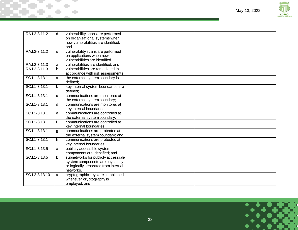

| RA.L2-3.11.2  | d           | vulnerability scans are performed<br>on organizational systems when<br>new vulnerabilities are identified;<br>and            |  |
|---------------|-------------|------------------------------------------------------------------------------------------------------------------------------|--|
| RA.L2-3.11.2  | e           | vulnerability scans are performed<br>on applications when new<br>vulnerabilities are identified.                             |  |
| RA.L2-3.11.3  | a           | vulnerabilities are identified; and                                                                                          |  |
| RA.L2-3.11.3  | b           | vulnerabilities are remediated in<br>accordance with risk assessments.                                                       |  |
| SC.L1-3.13.1  | a           | the external system boundary is<br>defined:                                                                                  |  |
| SC.L1-3.13.1  | b           | key internal system boundaries are<br>defined:                                                                               |  |
| SC.L1-3.13.1  | C           | communications are monitored at<br>the external system boundary;                                                             |  |
| SC.L1-3.13.1  | d           | communications are monitored at<br>key internal boundaries;                                                                  |  |
| SC.L1-3.13.1  | e           | communications are controlled at<br>the external system boundary;                                                            |  |
| SC.L1-3.13.1  | f           | communications are controlled at<br>key internal boundaries;                                                                 |  |
| SC.L1-3.13.1  | g           | communications are protected at<br>the external system boundary; and                                                         |  |
| SC.L1-3.13.1  | h.          | communications are protected at<br>key internal boundaries.                                                                  |  |
| SC.L1-3.13.5  | a           | publicly accessible system<br>components are identified; and                                                                 |  |
| SC.L1-3.13.5  | $\mathbf b$ | subnetworks for publicly accessible<br>system components are physically<br>or logically separated from internal<br>networks. |  |
| SC.L2-3.13.10 | a           | cryptographic keys are established<br>whenever cryptography is<br>employed; and                                              |  |

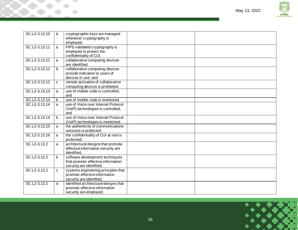

| b            | cryptographic keys are managed<br>whenever cryptography is                                        |                                                 |  |
|--------------|---------------------------------------------------------------------------------------------------|-------------------------------------------------|--|
| a            | FIPS-validated cryptography is<br>employed to protect the<br>confidentiality of CUI.              |                                                 |  |
| a            | collaborative computing devices<br>are identified;                                                |                                                 |  |
| b            | collaborative computing devices<br>provide indication to users of<br>devices in use; and          |                                                 |  |
| $\mathbf{C}$ | computing devices is prohibited.                                                                  |                                                 |  |
| a            | use of mobile code is controlled;<br>and                                                          |                                                 |  |
| $\mathbf b$  | use of mobile code is monitored.                                                                  |                                                 |  |
| a            | use of Voice over Internet Protocol<br>(VoIP) technologies is controlled;<br>and                  |                                                 |  |
| b            | use of Voice over Internet Protocol<br>(VoIP) technologies is monitored.                          |                                                 |  |
| a            | the authenticity of communications<br>sessions is protected.                                      |                                                 |  |
| a            | the confidentiality of CUI at rest is<br>protected.                                               |                                                 |  |
| a            | architectural designs that promote<br>effective information security are<br>identified:           |                                                 |  |
| b            | software development techniques<br>that promote effective information<br>security are identified; |                                                 |  |
| C            | systems engineering principles that<br>promote effective information<br>security are identified;  |                                                 |  |
| d            | identified architectural designs that<br>promote effective information<br>security are employed;  |                                                 |  |
|              |                                                                                                   | employed.<br>remote activation of collaborative |  |

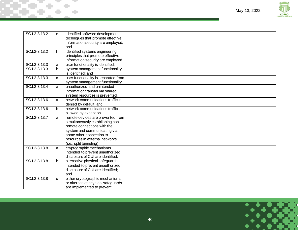

| SC.L2-3.13.2 | e            | identified software development<br>techniques that promote effective<br>information security are employed;<br>and                                                                                                              |  |
|--------------|--------------|--------------------------------------------------------------------------------------------------------------------------------------------------------------------------------------------------------------------------------|--|
| SC.L2-3.13.2 |              | identified systems engineering<br>principles that promote effective<br>information security are employed.                                                                                                                      |  |
| SC.L2-3.13.3 | a            | user functionality is identified;                                                                                                                                                                                              |  |
| SC.L2-3.13.3 | b            | system management functionality<br>is identified; and                                                                                                                                                                          |  |
| SC.L2-3.13.3 | $\mathbf{C}$ | user functionality is separated from<br>system management functionality.                                                                                                                                                       |  |
| SC.L2-3.13.4 | a            | unauthorized and unintended<br>information transfer via shared<br>system resources is prevented.                                                                                                                               |  |
| SC.L2-3.13.6 | a            | network communications traffic is<br>denied by default; and                                                                                                                                                                    |  |
| SC.L2-3.13.6 | b            | network communications traffic is<br>allowed by exception.                                                                                                                                                                     |  |
| SC.L2-3.13.7 | a            | remote devices are prevented from<br>simultaneously establishing non-<br>remote connections with the<br>system and communicating via<br>some other connection to<br>resources in external networks<br>(i.e., split tunneling). |  |
| SC.L2-3.13.8 | a            | cryptographic mechanisms<br>intended to prevent unauthorized<br>disclosure of CUI are identified;                                                                                                                              |  |
| SC.L2-3.13.8 | $\mathbf b$  | alternative physical safeguards<br>intended to prevent unauthorized<br>disclosure of CUI are identified;<br>and                                                                                                                |  |
| SC.L2-3.13.8 | $\mathbf{C}$ | either cryptographic mechanisms<br>or alternative physical safeguards<br>are implemented to prevent                                                                                                                            |  |

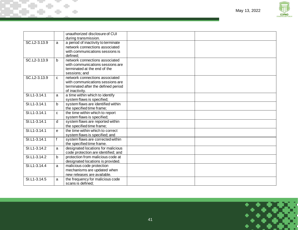



|              |              | unauthorized disclosure of CUI      |  |
|--------------|--------------|-------------------------------------|--|
|              |              | during transmission.                |  |
| SC.L2-3.13.9 | a            | a period of inactivity to terminate |  |
|              |              | network connections associated      |  |
|              |              | with communications sessions is     |  |
|              |              | defined:                            |  |
| SC.L2-3.13.9 | <sub>b</sub> | network connections associated      |  |
|              |              | with communications sessions are    |  |
|              |              | terminated at the end of the        |  |
|              |              | sessions; and                       |  |
| SC.L2-3.13.9 | C            | network connections associated      |  |
|              |              | with communications sessions are    |  |
|              |              | terminated after the defined period |  |
|              |              | of inactivity.                      |  |
| SI.L1-3.14.1 | a            | a time within which to identify     |  |
|              |              | system flaws is specified;          |  |
| SI.L1-3.14.1 | b            | system flaws are identified within  |  |
|              |              | the specified time frame;           |  |
| SI.L1-3.14.1 | $\mathbf{C}$ | the time within which to report     |  |
|              |              | system flaws is specified;          |  |
| SI.L1-3.14.1 | d            | system flaws are reported within    |  |
|              |              | the specified time frame:           |  |
| SI.L1-3.14.1 | e            | the time within which to correct    |  |
|              |              | system flaws is specified; and      |  |
| SI.L1-3.14.1 |              | system flaws are corrected within   |  |
|              |              | the specified time frame.           |  |
| SI.L1-3.14.2 | a            | designated locations for malicious  |  |
|              |              | code protection are identified; and |  |
| SI.L1-3.14.2 | b            | protection from malicious code at   |  |
|              |              | designated locations is provided.   |  |
| SI.L1-3.14.4 | a            | malicious code protection           |  |
|              |              | mechanisms are updated when         |  |
|              |              | new releases are available.         |  |
| SI.L1-3.14.5 | a            | the frequency for malicious code    |  |
|              |              | scans is defined.                   |  |